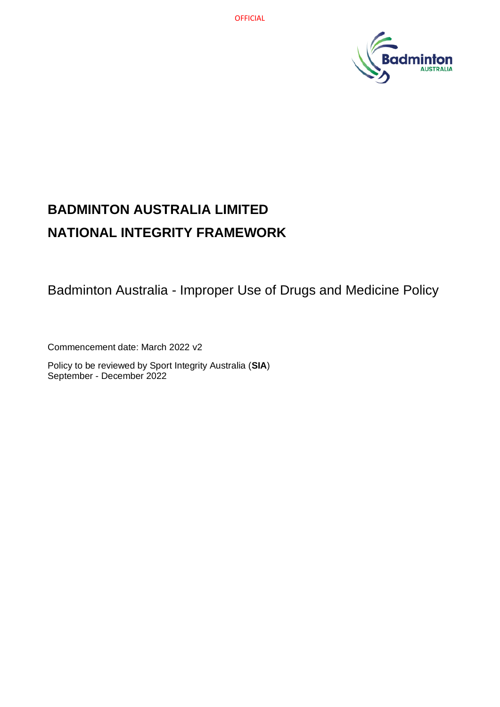

# **BADMINTON AUSTRALIA LIMITED NATIONAL INTEGRITY FRAMEWORK**

Badminton Australia - Improper Use of Drugs and Medicine Policy

Commencement date: March 2022 v2

Policy to be reviewed by Sport Integrity Australia (**SIA**) September - December 2022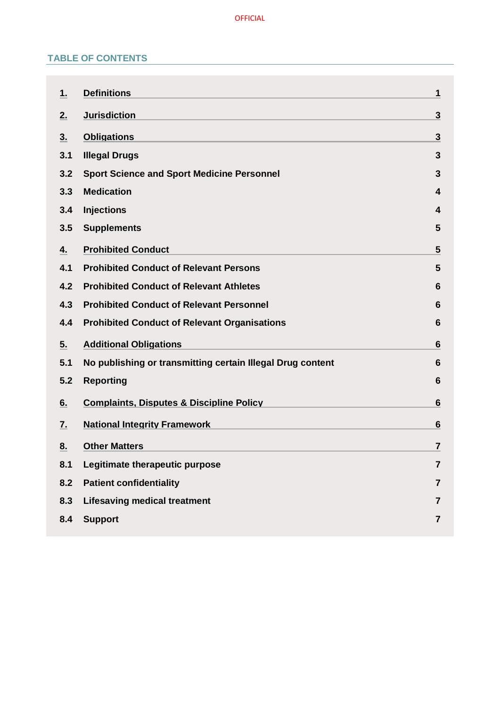# **TABLE OF CONTENTS**

| 1.  | <b>Definitions</b>                                         | 1                       |
|-----|------------------------------------------------------------|-------------------------|
| 2.  | <b>Jurisdiction</b>                                        | $\mathbf{3}$            |
| 3.  | <b>Obligations</b>                                         | $\overline{\mathbf{3}}$ |
| 3.1 | <b>Illegal Drugs</b>                                       | 3                       |
| 3.2 | <b>Sport Science and Sport Medicine Personnel</b>          | 3                       |
| 3.3 | <b>Medication</b>                                          | 4                       |
| 3.4 | <b>Injections</b>                                          | 4                       |
| 3.5 | <b>Supplements</b>                                         | 5                       |
| 4.  | <b>Prohibited Conduct</b>                                  | 5                       |
| 4.1 | <b>Prohibited Conduct of Relevant Persons</b>              | 5                       |
| 4.2 | <b>Prohibited Conduct of Relevant Athletes</b>             | 6                       |
| 4.3 | <b>Prohibited Conduct of Relevant Personnel</b>            | 6                       |
| 4.4 | <b>Prohibited Conduct of Relevant Organisations</b>        | 6                       |
| 5.  | <b>Additional Obligations</b>                              | 6                       |
| 5.1 | No publishing or transmitting certain Illegal Drug content | 6                       |
| 5.2 | <b>Reporting</b>                                           | 6                       |
| 6.  | <b>Complaints, Disputes &amp; Discipline Policy</b>        | 6                       |
| 7.  | <b>National Integrity Framework</b>                        | 6                       |
| 8.  | <b>Other Matters</b>                                       | $\overline{7}$          |
| 8.1 | Legitimate therapeutic purpose                             | $\overline{7}$          |
| 8.2 | <b>Patient confidentiality</b>                             | 7                       |
| 8.3 | <b>Lifesaving medical treatment</b>                        | $\overline{7}$          |
| 8.4 | <b>Support</b>                                             | 7                       |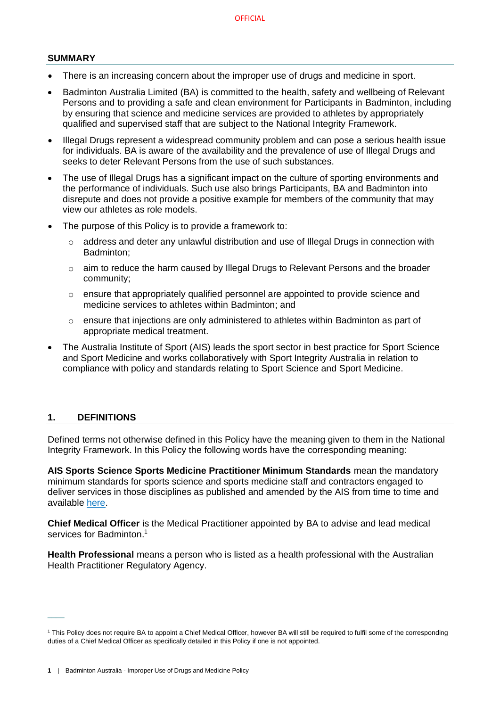#### **SUMMARY**

- There is an increasing concern about the improper use of drugs and medicine in sport.
- Badminton Australia Limited (BA) is committed to the health, safety and wellbeing of Relevant Persons and to providing a safe and clean environment for Participants in Badminton, including by ensuring that science and medicine services are provided to athletes by appropriately qualified and supervised staff that are subject to the National Integrity Framework.
- Illegal Drugs represent a widespread community problem and can pose a serious health issue for individuals. BA is aware of the availability and the prevalence of use of Illegal Drugs and seeks to deter Relevant Persons from the use of such substances.
- The use of Illegal Drugs has a significant impact on the culture of sporting environments and the performance of individuals. Such use also brings Participants, BA and Badminton into disrepute and does not provide a positive example for members of the community that may view our athletes as role models.
- The purpose of this Policy is to provide a framework to:
	- $\circ$  address and deter any unlawful distribution and use of Illegal Drugs in connection with Badminton;
	- $\circ$  aim to reduce the harm caused by Illegal Drugs to Relevant Persons and the broader community;
	- $\circ$  ensure that appropriately qualified personnel are appointed to provide science and medicine services to athletes within Badminton; and
	- o ensure that injections are only administered to athletes within Badminton as part of appropriate medical treatment.
- The Australia Institute of Sport (AIS) leads the sport sector in best practice for Sport Science and Sport Medicine and works collaboratively with Sport Integrity Australia in relation to compliance with policy and standards relating to Sport Science and Sport Medicine.

## <span id="page-2-0"></span>**1. DEFINITIONS**

 $\overline{\phantom{a}}$ 

Defined terms not otherwise defined in this Policy have the meaning given to them in the National Integrity Framework. In this Policy the following words have the corresponding meaning:

**AIS Sports Science Sports Medicine Practitioner Minimum Standards** mean the mandatory minimum standards for sports science and sports medicine staff and contractors engaged to deliver services in those disciplines as published and amended by the AIS from time to time and available [here.](https://www.ais.gov.au/position_statements#ais_sports_science_sports_medicine_practitioner_minimum_standards)

**Chief Medical Officer** is the Medical Practitioner appointed by BA to advise and lead medical services for Badminton. 1

**Health Professional** means a person who is listed as a health professional with the Australian Health Practitioner Regulatory Agency.

<sup>1</sup> This Policy does not require BA to appoint a Chief Medical Officer, however BA will still be required to fulfil some of the corresponding duties of a Chief Medical Officer as specifically detailed in this Policy if one is not appointed.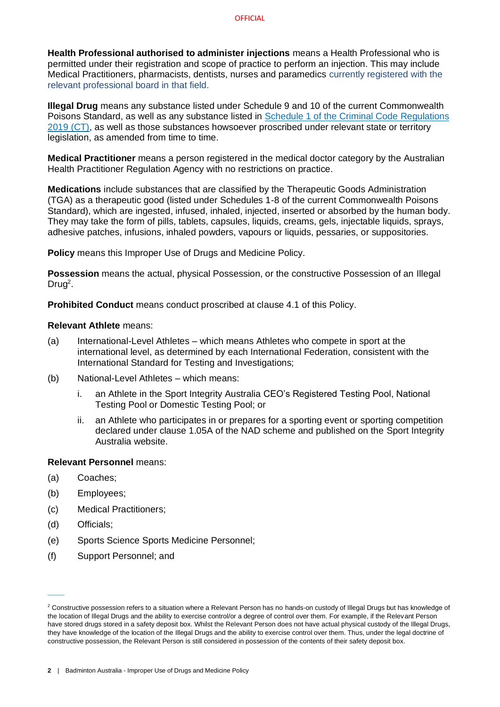**Health Professional authorised to administer injections** means a Health Professional who is permitted under their registration and scope of practice to perform an injection. This may include Medical Practitioners, pharmacists, dentists, nurses and paramedics currently registered with the relevant professional board in that field.

**Illegal Drug** means any substance listed under Schedule 9 and 10 of the current Commonwealth Poisons Standard, as well as any substance listed in [Schedule 1 of the Criminal Code](https://www.legislation.gov.au/Details/F2020C00785) Regulations [2019 \(CT\),](https://www.legislation.gov.au/Details/F2020C00785) as well as those substances howsoever proscribed under relevant state or territory legislation, as amended from time to time.

**Medical Practitioner** means a person registered in the medical doctor category by the Australian Health Practitioner Regulation Agency with no restrictions on practice.

**Medications** include substances that are classified by the Therapeutic Goods Administration (TGA) as a therapeutic good (listed under Schedules 1-8 of the current Commonwealth Poisons Standard), which are ingested, infused, inhaled, injected, inserted or absorbed by the human body. They may take the form of pills, tablets, capsules, liquids, creams, gels, injectable liquids, sprays, adhesive patches, infusions, inhaled powders, vapours or liquids, pessaries, or suppositories.

**Policy** means this Improper Use of Drugs and Medicine Policy.

**Possession** means the actual, physical Possession, or the constructive Possession of an Illegal Drug<sup>2</sup>.

**Prohibited Conduct** means conduct proscribed at clause [4.1](#page-6-2) of this Policy.

#### **Relevant Athlete** means:

- (a) International-Level Athletes which means Athletes who compete in sport at the international level, as determined by each International Federation, consistent with the International Standard for Testing and Investigations;
- (b) National-Level Athletes which means:
	- i. an Athlete in the Sport Integrity Australia CEO's Registered Testing Pool, National Testing Pool or Domestic Testing Pool; or
	- ii. an Athlete who participates in or prepares for a sporting event or sporting competition declared under clause 1.05A of the NAD scheme and published on the Sport Integrity Australia website.

## **Relevant Personnel** means:

- (a) Coaches;
- (b) Employees;
- (c) Medical Practitioners;
- (d) Officials;

 $\overline{\phantom{a}}$ 

- (e) Sports Science Sports Medicine Personnel;
- (f) Support Personnel; and

<sup>&</sup>lt;sup>2</sup> Constructive possession refers to a situation where a Relevant Person has no hands-on custody of Illegal Drugs but has knowledge of the location of Illegal Drugs and the ability to exercise control/or a degree of control over them. For example, if the Relevant Person have stored drugs stored in a safety deposit box. Whilst the Relevant Person does not have actual physical custody of the Illegal Drugs, they have knowledge of the location of the Illegal Drugs and the ability to exercise control over them. Thus, under the legal doctrine of constructive possession, the Relevant Person is still considered in possession of the contents of their safety deposit box.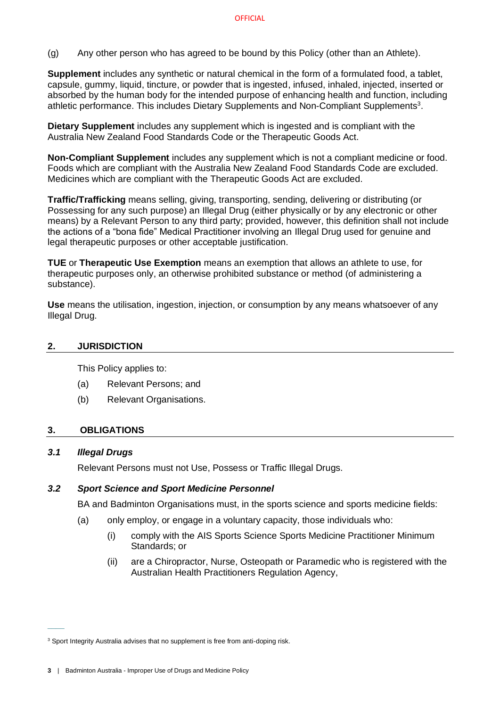(g) Any other person who has agreed to be bound by this Policy (other than an Athlete).

**Supplement** includes any synthetic or natural chemical in the form of a formulated food, a tablet, capsule, gummy, liquid, tincture, or powder that is ingested, infused, inhaled, injected, inserted or absorbed by the human body for the intended purpose of enhancing health and function, including athletic performance. This includes Dietary Supplements and Non-Compliant Supplements<sup>3</sup>.

**Dietary Supplement** includes any supplement which is ingested and is compliant with the Australia New Zealand Food Standards Code or the Therapeutic Goods Act.

**Non-Compliant Supplement** includes any supplement which is not a compliant medicine or food. Foods which are compliant with the Australia New Zealand Food Standards Code are excluded. Medicines which are compliant with the Therapeutic Goods Act are excluded.

**Traffic/Trafficking** means selling, giving, transporting, sending, delivering or distributing (or Possessing for any such purpose) an Illegal Drug (either physically or by any electronic or other means) by a Relevant Person to any third party; provided, however, this definition shall not include the actions of a "bona fide" Medical Practitioner involving an Illegal Drug used for genuine and legal therapeutic purposes or other acceptable justification.

**TUE** or **Therapeutic Use Exemption** means an exemption that allows an athlete to use, for therapeutic purposes only, an otherwise prohibited substance or method (of administering a substance).

**Use** means the utilisation, ingestion, injection, or consumption by any means whatsoever of any Illegal Drug.

## <span id="page-4-0"></span>**2. JURISDICTION**

This Policy applies to:

- (a) Relevant Persons; and
- <span id="page-4-1"></span>(b) Relevant Organisations.

## **3. OBLIGATIONS**

## <span id="page-4-2"></span>*3.1 Illegal Drugs*

 $\overline{\phantom{a}}$ 

Relevant Persons must not Use, Possess or Traffic Illegal Drugs.

## <span id="page-4-3"></span>*3.2 Sport Science and Sport Medicine Personnel*

BA and Badminton Organisations must, in the sports science and sports medicine fields:

- (a) only employ, or engage in a voluntary capacity, those individuals who:
	- (i) comply with the AIS Sports Science Sports Medicine Practitioner Minimum Standards; or
	- (ii) are a Chiropractor, Nurse, Osteopath or Paramedic who is registered with the Australian Health Practitioners Regulation Agency,

<sup>&</sup>lt;sup>3</sup> Sport Integrity Australia advises that no supplement is free from anti-doping risk.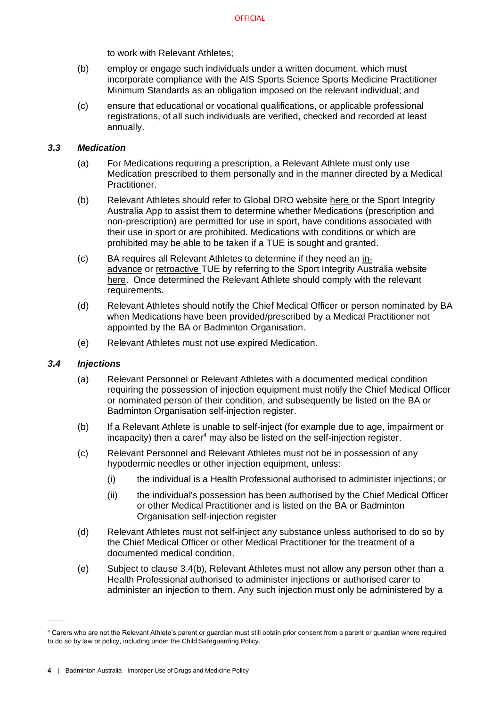to work with Relevant Athletes;

- (b) employ or engage such individuals under a written document, which must incorporate compliance with the AIS Sports Science Sports Medicine Practitioner Minimum Standards as an obligation imposed on the relevant individual; and
- (c) ensure that educational or vocational qualifications, or applicable professional registrations, of all such individuals are verified, checked and recorded at least annually.

# <span id="page-5-0"></span>*3.3 Medication*

- (a) For Medications requiring a prescription, a Relevant Athlete must only use Medication prescribed to them personally and in the manner directed by a Medical Practitioner.
- (b) Relevant Athletes should refer to Global DRO website [here](https://globaldro.com/AU/search) or the Sport Integrity Australia App to assist them to determine whether Medications (prescription and non-prescription) are permitted for use in sport, have conditions associated with their use in sport or are prohibited. Medications with conditions or which are prohibited may be able to be taken if a TUE is sought and granted.
- (c) BA requires all Relevant Athletes to determine if they need an [in](https://www.sportintegrity.gov.au/resources/therapeutic-use-exemption/advance-therapeutic-use-exemption)[advance](https://www.sportintegrity.gov.au/resources/therapeutic-use-exemption/advance-therapeutic-use-exemption) or [retroactive](https://www.sportintegrity.gov.au/resources/therapeutic-use-exemption/retroactive-therapeutic-use-exemption) TUE by referring to the Sport Integrity Australia website [here.](https://www.sportintegrity.gov.au/resources/therapeutic-use-exemption) Once determined the Relevant Athlete should comply with the relevant requirements.
- (d) Relevant Athletes should notify the Chief Medical Officer or person nominated by BA when Medications have been provided/prescribed by a Medical Practitioner not appointed by the BA or Badminton Organisation.
- (e) Relevant Athletes must not use expired Medication.

# <span id="page-5-1"></span>*3.4 Injections*

 $\overline{\phantom{a}}$ 

- (a) Relevant Personnel or Relevant Athletes with a documented medical condition requiring the possession of injection equipment must notify the Chief Medical Officer or nominated person of their condition, and subsequently be listed on the BA or Badminton Organisation self-injection register.
- (b) If a Relevant Athlete is unable to self-inject (for example due to age, impairment or  $incapacity)$  then a carer<sup>4</sup> may also be listed on the self-injection register.
- <span id="page-5-2"></span>(c) Relevant Personnel and Relevant Athletes must not be in possession of any hypodermic needles or other injection equipment, unless:
	- (i) the individual is a Health Professional authorised to administer injections; or
	- (ii) the individual's possession has been authorised by the Chief Medical Officer or other Medical Practitioner and is listed on the BA or Badminton Organisation self-injection register
- <span id="page-5-3"></span>(d) Relevant Athletes must not self-inject any substance unless authorised to do so by the Chief Medical Officer or other Medical Practitioner for the treatment of a documented medical condition.
- <span id="page-5-4"></span>(e) Subject to clause 3.4(b), Relevant Athletes must not allow any person other than a Health Professional authorised to administer injections or authorised carer to administer an injection to them. Any such injection must only be administered by a

<sup>4</sup> Carers who are not the Relevant Athlete's parent or guardian must still obtain prior consent from a parent or guardian where required to do so by law or policy, including under the Child Safeguarding Policy.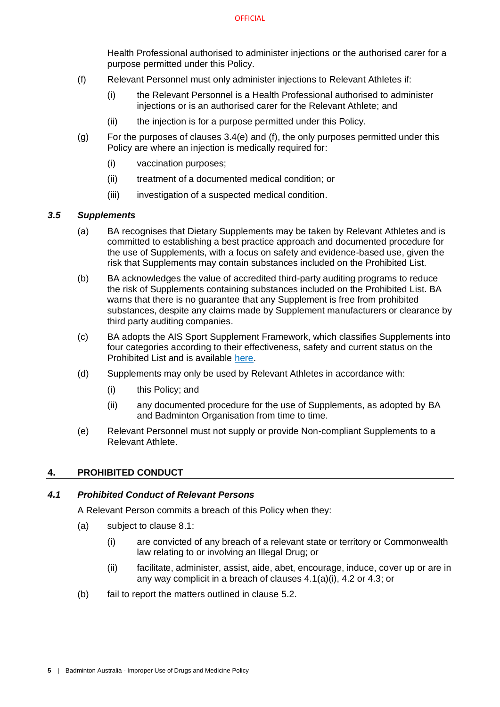Health Professional authorised to administer injections or the authorised carer for a purpose permitted under this Policy.

- <span id="page-6-4"></span>(f) Relevant Personnel must only administer injections to Relevant Athletes if:
	- (i) the Relevant Personnel is a Health Professional authorised to administer injections or is an authorised carer for the Relevant Athlete; and
	- (ii) the injection is for a purpose permitted under this Policy.
- (g) For the purposes of clauses 3.4(e) and (f), the only purposes permitted under this Policy are where an injection is medically required for:
	- (i) vaccination purposes;
	- (ii) treatment of a documented medical condition; or
	- (iii) investigation of a suspected medical condition.

# <span id="page-6-0"></span>*3.5 Supplements*

- (a) BA recognises that Dietary Supplements may be taken by Relevant Athletes and is committed to establishing a best practice approach and documented procedure for the use of Supplements, with a focus on safety and evidence-based use, given the risk that Supplements may contain substances included on the Prohibited List.
- (b) BA acknowledges the value of accredited third-party auditing programs to reduce the risk of Supplements containing substances included on the Prohibited List. BA warns that there is no quarantee that any Supplement is free from prohibited substances, despite any claims made by Supplement manufacturers or clearance by third party auditing companies.
- (c) BA adopts the AIS Sport Supplement Framework, which classifies Supplements into four categories according to their effectiveness, safety and current status on the Prohibited List and is available [here.](https://www.ais.gov.au/nutrition/supplements)
- (d) Supplements may only be used by Relevant Athletes in accordance with:
	- (i) this Policy; and
	- (ii) any documented procedure for the use of Supplements, as adopted by BA and Badminton Organisation from time to time.
- <span id="page-6-5"></span>(e) Relevant Personnel must not supply or provide Non-compliant Supplements to a Relevant Athlete.

## <span id="page-6-1"></span>**4. PROHIBITED CONDUCT**

# <span id="page-6-3"></span><span id="page-6-2"></span>*4.1 Prohibited Conduct of Relevant Persons*

A Relevant Person commits a breach of this Policy when they:

- (a) subject to clause [8.1:](#page-8-1)
	- (i) are convicted of any breach of a relevant state or territory or Commonwealth law relating to or involving an Illegal Drug; or
	- (ii) facilitate, administer, assist, aide, abet, encourage, induce, cover up or are in any way complicit in a breach of clauses [4.1\(a\)\(](#page-6-3)i), [4.2](#page-7-0) or [4.3;](#page-7-1) or
- (b) fail to report the matters outlined in clause [5.2.](#page-7-5)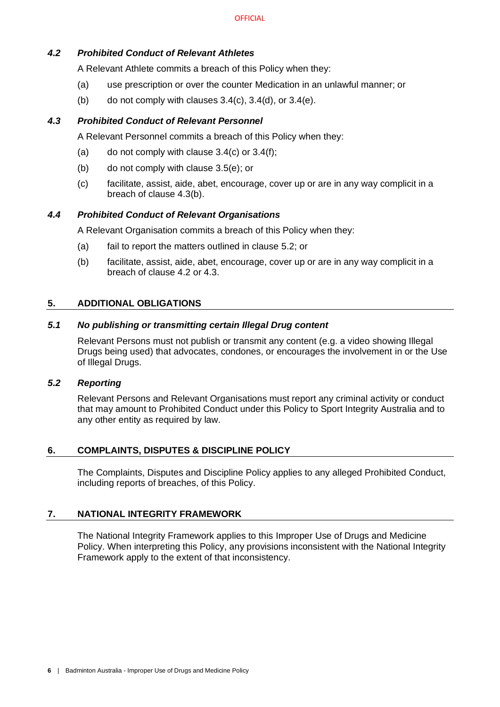# <span id="page-7-0"></span>*4.2 Prohibited Conduct of Relevant Athletes*

A Relevant Athlete commits a breach of this Policy when they:

- (a) use prescription or over the counter Medication in an unlawful manner; or
- (b) do not comply with clauses  $3.4(c)$ ,  $3.4(d)$ , or  $3.4(e)$ .

# <span id="page-7-1"></span>*4.3 Prohibited Conduct of Relevant Personnel*

A Relevant Personnel commits a breach of this Policy when they:

- (a) do not comply with clause  $3.4(c)$  or  $3.4(f)$ ;
- <span id="page-7-8"></span>(b) do not comply with clause [3.5\(e\);](#page-6-5) or
- (c) facilitate, assist, aide, abet, encourage, cover up or are in any way complicit in a breach of clause [4.3\(b\).](#page-7-8)

## <span id="page-7-2"></span>*4.4 Prohibited Conduct of Relevant Organisations*

A Relevant Organisation commits a breach of this Policy when they:

- (a) fail to report the matters outlined in clause [5.2;](#page-7-5) or
- (b) facilitate, assist, aide, abet, encourage, cover up or are in any way complicit in a breach of clause [4.2](#page-7-0) or [4.3.](#page-7-1)

## <span id="page-7-3"></span>**5. ADDITIONAL OBLIGATIONS**

## <span id="page-7-4"></span>*5.1 No publishing or transmitting certain Illegal Drug content*

Relevant Persons must not publish or transmit any content (e.g. a video showing Illegal Drugs being used) that advocates, condones, or encourages the involvement in or the Use of Illegal Drugs.

# <span id="page-7-5"></span>*5.2 Reporting*

Relevant Persons and Relevant Organisations must report any criminal activity or conduct that may amount to Prohibited Conduct under this Policy to Sport Integrity Australia and to any other entity as required by law.

## <span id="page-7-6"></span>**6. COMPLAINTS, DISPUTES & DISCIPLINE POLICY**

The Complaints, Disputes and Discipline Policy applies to any alleged Prohibited Conduct, including reports of breaches, of this Policy.

## <span id="page-7-7"></span>**7. NATIONAL INTEGRITY FRAMEWORK**

The National Integrity Framework applies to this Improper Use of Drugs and Medicine Policy. When interpreting this Policy, any provisions inconsistent with the National Integrity Framework apply to the extent of that inconsistency.